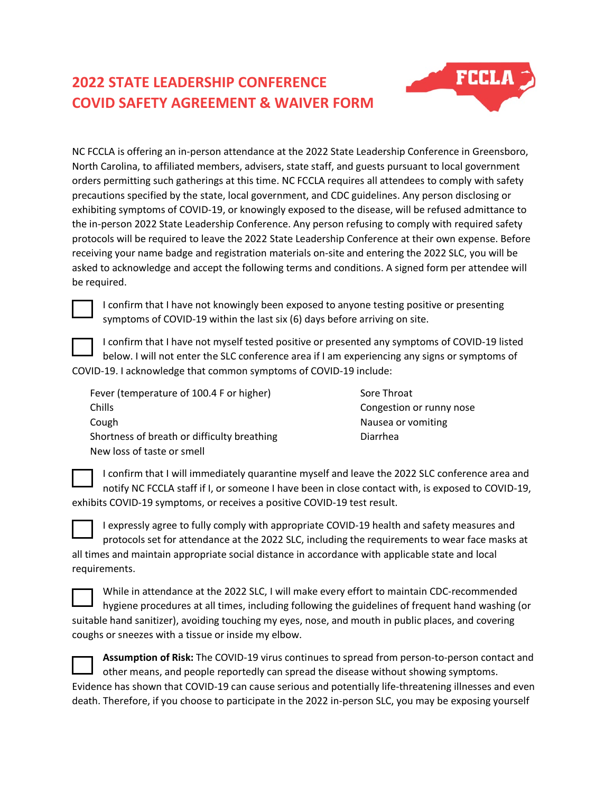## **2022 STATE LEADERSHIP CONFERENCE COVID SAFETY AGREEMENT & WAIVER FORM**



NC FCCLA is offering an in-person attendance at the 2022 State Leadership Conference in Greensboro, North Carolina, to affiliated members, advisers, state staff, and guests pursuant to local government orders permitting such gatherings at this time. NC FCCLA requires all attendees to comply with safety precautions specified by the state, local government, and CDC guidelines. Any person disclosing or exhibiting symptoms of COVID-19, or knowingly exposed to the disease, will be refused admittance to the in-person 2022 State Leadership Conference. Any person refusing to comply with required safety protocols will be required to leave the 2022 State Leadership Conference at their own expense. Before receiving your name badge and registration materials on-site and entering the 2022 SLC, you will be asked to acknowledge and accept the following terms and conditions. A signed form per attendee will be required.



I confirm that I have not knowingly been exposed to anyone testing positive or presenting symptoms of COVID-19 within the last six (6) days before arriving on site.

I confirm that I have not myself tested positive or presented any symptoms of COVID-19 listed below. I will not enter the SLC conference area if I am experiencing any signs or symptoms of

COVID-19. I acknowledge that common symptoms of COVID-19 include:

| Fever (temperature of 100.4 F or higher)    | Sore Throat              |
|---------------------------------------------|--------------------------|
| Chills                                      | Congestion or runny nose |
| Cough                                       | Nausea or vomiting       |
| Shortness of breath or difficulty breathing | Diarrhea                 |
| New loss of taste or smell                  |                          |

I confirm that I will immediately quarantine myself and leave the 2022 SLC conference area and notify NC FCCLA staff if I, or someone I have been in close contact with, is exposed to COVID-19, exhibits COVID-19 symptoms, or receives a positive COVID-19 test result.

I expressly agree to fully comply with appropriate COVID-19 health and safety measures and protocols set for attendance at the 2022 SLC, including the requirements to wear face masks at all times and maintain appropriate social distance in accordance with applicable state and local requirements.

While in attendance at the 2022 SLC, I will make every effort to maintain CDC-recommended hygiene procedures at all times, including following the guidelines of frequent hand washing (or suitable hand sanitizer), avoiding touching my eyes, nose, and mouth in public places, and covering coughs or sneezes with a tissue or inside my elbow.

| Assumption of Risk: The COVID-19 virus continues to spread from person-to-person contact and           |
|--------------------------------------------------------------------------------------------------------|
| other means, and people reportedly can spread the disease without showing symptoms.                    |
| Evidence has shown that COVID-19 can cause serious and potentially life-threatening illnesses and even |
| death. Therefore, if you choose to participate in the 2022 in-person SLC, you may be exposing yourself |